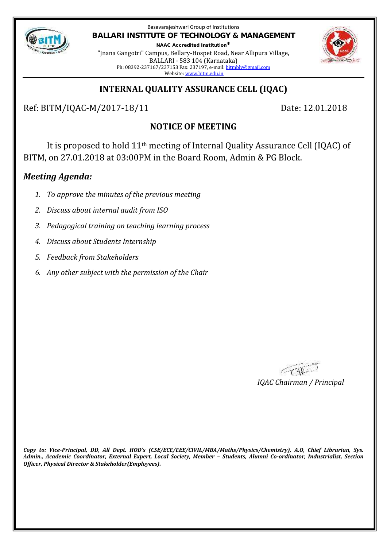

Basavarajeshwari Group of Institutions **BALLARI INSTITUTE OF TECHNOLOGY & MANAGEMENT NAAC Accredited Institution\***

"Jnana Gangotri" Campus, Bellary-Hospet Road, Near Allipura Village, BALLARI - 583 104 (Karnataka) Ph: 08392-237167/237153 Fax: 237197, e-mail: bitmbly@gmail.com Website: www.bitm.edu.in



## **INTERNAL QUALITY ASSURANCE CELL (IQAC)**

Ref: BITM/IQAC-M/2017-18/11 Date: 12.01.2018

# **NOTICE OF MEETING**

It is proposed to hold 11th meeting of Internal Quality Assurance Cell (IQAC) of BITM, on 27.01.2018 at 03:00PM in the Board Room, Admin & PG Block.

## *Meeting Agenda:*

- *1. To approve the minutes of the previous meeting*
- *2. Discuss about internal audit from ISO*
- *3. Pedagogical training on teaching learning process*
- *4. Discuss about Students Internship*
- *5. Feedback from Stakeholders*
- *6. Any other subject with the permission of the Chair*

**CARL** *IQAC Chairman / Principal*

*Copy to: Vice-Principal, DD, All Dept. HOD's (CSE/ECE/EEE/CIVIL/MBA/Maths/Physics/Chemistry), A.O, Chief Librarian, Sys. Admin., Academic Coordinator, External Expert, Local Society, Member – Students, Alumni Co-ordinator, Industrialist, Section Officer, Physical Director & Stakeholder(Employees).*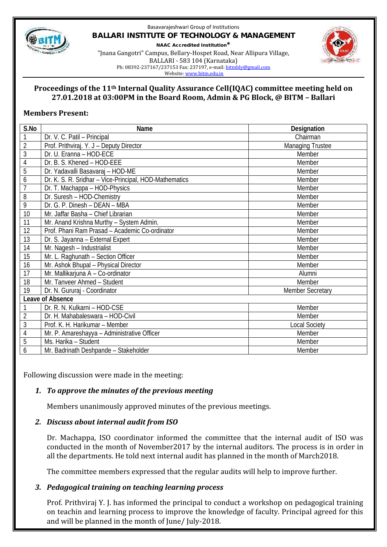

### Basavarajeshwari Group of Institutions **BALLARI INSTITUTE OF TECHNOLOGY & MANAGEMENT NAAC Accredited Institution\*** "Jnana Gangotri" Campus, Bellary-Hospet Road, Near Allipura Village, BALLARI - 583 104 (Karnataka)



Ph: 08392-237167/237153 Fax: 237197, e-mail: bitmbly@gmail.com

Website: www.bitm.edu.in

### **Proceedings of the 11th Internal Quality Assurance Cell(IQAC) committee meeting held on 27.01.2018 at 03:00PM in the Board Room, Admin & PG Block, @ BITM – Ballari**

### **Members Present:**

| S.No             | Name                                                   | Designation             |
|------------------|--------------------------------------------------------|-------------------------|
|                  | Dr. V. C. Patil - Principal                            | Chairman                |
| $\overline{2}$   | Prof. Prithviraj. Y. J - Deputy Director               | <b>Managing Trustee</b> |
| 3                | Dr. U. Eranna - HOD-ECE                                | Member                  |
| 4                | Dr. B. S. Khened - HOD-EEE                             | Member                  |
| 5                | Dr. Yadavalli Basavaraj - HOD-ME                       | Member                  |
| 6                | Dr. K. S. R. Sridhar - Vice-Principal, HOD-Mathematics | Member                  |
| $\overline{1}$   | Dr. T. Machappa - HOD-Physics                          | Member                  |
| 8                | Dr. Suresh - HOD-Chemistry                             | Member                  |
| 9                | Dr. G. P. Dinesh - DEAN - MBA                          | Member                  |
| 10               | Mr. Jaffar Basha - Chief Librarian                     | Member                  |
| 11               | Mr. Anand Krishna Murthy - System Admin.               | Member                  |
| 12               | Prof. Phani Ram Prasad - Academic Co-ordinator         | Member                  |
| 13               | Dr. S. Jayanna - External Expert                       | Member                  |
| 14               | Mr. Nagesh - Industrialist                             | Member                  |
| 15               | Mr. L. Raghunath - Section Officer                     | Member                  |
| 16               | Mr. Ashok Bhupal - Physical Director                   | Member                  |
| 17               | Mr. Mallikarjuna A - Co-ordinator                      | Alumni                  |
| 18               | Mr. Tanveer Ahmed - Student                            | Member                  |
| 19               | Dr. N. Gururaj - Coordinator                           | <b>Member Secretary</b> |
| Leave of Absence |                                                        |                         |
|                  | Dr. R. N. Kulkarni - HOD-CSE                           | Member                  |
| $\overline{2}$   | Dr. H. Mahabaleswara - HOD-Civil                       | Member                  |
| 3                | Prof. K. H. Harikumar - Member                         | <b>Local Society</b>    |
| 4                | Mr. P. Amareshayya - Administrative Officer            | Member                  |
| 5                | Ms. Harika - Student                                   | Member                  |
| $\overline{6}$   | Mr. Badrinath Deshpande - Stakeholder                  | Member                  |

Following discussion were made in the meeting:

## *1. To approve the minutes of the previous meeting*

Members unanimously approved minutes of the previous meetings.

### *2. Discuss about internal audit from ISO*

Dr. Machappa, ISO coordinator informed the committee that the internal audit of ISO was conducted in the month of November2017 by the internal auditors. The process is in order in all the departments. He told next internal audit has planned in the month of March2018.

The committee members expressed that the regular audits will help to improve further.

## *3. Pedagogical training on teaching learning process*

Prof. Prithviraj Y. J. has informed the principal to conduct a workshop on pedagogical training on teachin and learning process to improve the knowledge of faculty. Principal agreed for this and will be planned in the month of June/ July-2018.